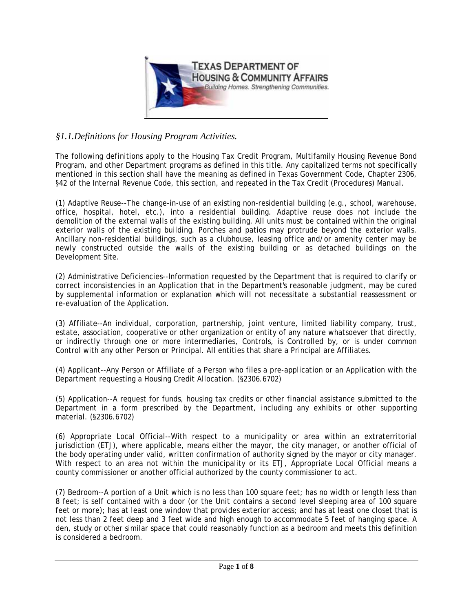

## *§1.1.Definitions for Housing Program Activities.*

The following definitions apply to the Housing Tax Credit Program, Multifamily Housing Revenue Bond Program, and other Department programs as defined in this title. Any capitalized terms not specifically mentioned in this section shall have the meaning as defined in Texas Government Code, Chapter 2306, §42 of the Internal Revenue Code, this section, and repeated in the Tax Credit (Procedures) Manual.

(1) Adaptive Reuse--The change-in-use of an existing non-residential building (e.g., school, warehouse, office, hospital, hotel, etc.), into a residential building. Adaptive reuse does not include the demolition of the external walls of the existing building. All units must be contained within the original exterior walls of the existing building. Porches and patios may protrude beyond the exterior walls. Ancillary non-residential buildings, such as a clubhouse, leasing office and/or amenity center may be newly constructed outside the walls of the existing building or as detached buildings on the Development Site.

(2) Administrative Deficiencies--Information requested by the Department that is required to clarify or correct inconsistencies in an Application that in the Department's reasonable judgment, may be cured by supplemental information or explanation which will not necessitate a substantial reassessment or re-evaluation of the Application.

(3) Affiliate--An individual, corporation, partnership, joint venture, limited liability company, trust, estate, association, cooperative or other organization or entity of any nature whatsoever that directly, or indirectly through one or more intermediaries, Controls, is Controlled by, or is under common Control with any other Person or Principal. All entities that share a Principal are Affiliates.

(4) Applicant--Any Person or Affiliate of a Person who files a pre-application or an Application with the Department requesting a Housing Credit Allocation. (§2306.6702)

(5) Application--A request for funds, housing tax credits or other financial assistance submitted to the Department in a form prescribed by the Department, including any exhibits or other supporting material. (§2306.6702)

(6) Appropriate Local Official--With respect to a municipality or area within an extraterritorial jurisdiction (ETJ), where applicable, means either the mayor, the city manager, or another official of the body operating under valid, written confirmation of authority signed by the mayor or city manager. With respect to an area not within the municipality or its ETJ, Appropriate Local Official means a county commissioner or another official authorized by the county commissioner to act.

(7) Bedroom--A portion of a Unit which is no less than 100 square feet; has no width or length less than 8 feet; is self contained with a door (or the Unit contains a second level sleeping area of 100 square feet or more); has at least one window that provides exterior access; and has at least one closet that is not less than 2 feet deep and 3 feet wide and high enough to accommodate 5 feet of hanging space. A den, study or other similar space that could reasonably function as a bedroom and meets this definition is considered a bedroom.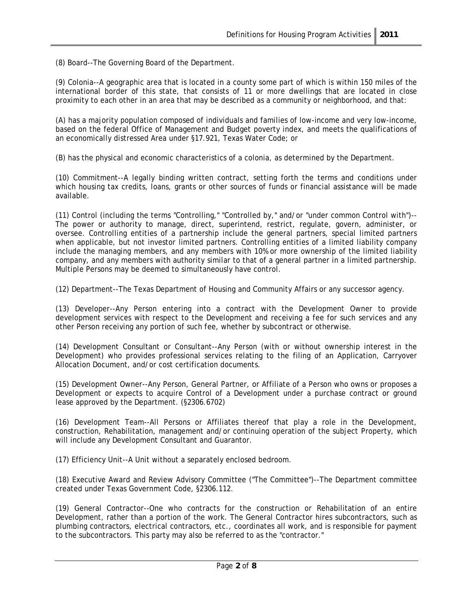(8) Board--The Governing Board of the Department.

(9) Colonia--A geographic area that is located in a county some part of which is within 150 miles of the international border of this state, that consists of 11 or more dwellings that are located in close proximity to each other in an area that may be described as a community or neighborhood, and that:

(A) has a majority population composed of individuals and families of low-income and very low-income, based on the federal Office of Management and Budget poverty index, and meets the qualifications of an economically distressed Area under §17.921, Texas Water Code; or

(B) has the physical and economic characteristics of a colonia, as determined by the Department.

(10) Commitment--A legally binding written contract, setting forth the terms and conditions under which housing tax credits, loans, grants or other sources of funds or financial assistance will be made available.

(11) Control (including the terms "Controlling," "Controlled by," and/or "under common Control with")-- The power or authority to manage, direct, superintend, restrict, regulate, govern, administer, or oversee. Controlling entities of a partnership include the general partners, special limited partners when applicable, but not investor limited partners. Controlling entities of a limited liability company include the managing members, and any members with 10% or more ownership of the limited liability company, and any members with authority similar to that of a general partner in a limited partnership. Multiple Persons may be deemed to simultaneously have control.

(12) Department--The Texas Department of Housing and Community Affairs or any successor agency.

(13) Developer--Any Person entering into a contract with the Development Owner to provide development services with respect to the Development and receiving a fee for such services and any other Person receiving any portion of such fee, whether by subcontract or otherwise.

(14) Development Consultant or Consultant--Any Person (with or without ownership interest in the Development) who provides professional services relating to the filing of an Application, Carryover Allocation Document, and/or cost certification documents.

(15) Development Owner--Any Person, General Partner, or Affiliate of a Person who owns or proposes a Development or expects to acquire Control of a Development under a purchase contract or ground lease approved by the Department. (§2306.6702)

(16) Development Team--All Persons or Affiliates thereof that play a role in the Development, construction, Rehabilitation, management and/or continuing operation of the subject Property, which will include any Development Consultant and Guarantor.

(17) Efficiency Unit--A Unit without a separately enclosed bedroom.

(18) Executive Award and Review Advisory Committee ("The Committee")--The Department committee created under Texas Government Code, §2306.112.

(19) General Contractor--One who contracts for the construction or Rehabilitation of an entire Development, rather than a portion of the work. The General Contractor hires subcontractors, such as plumbing contractors, electrical contractors, etc., coordinates all work, and is responsible for payment to the subcontractors. This party may also be referred to as the "contractor."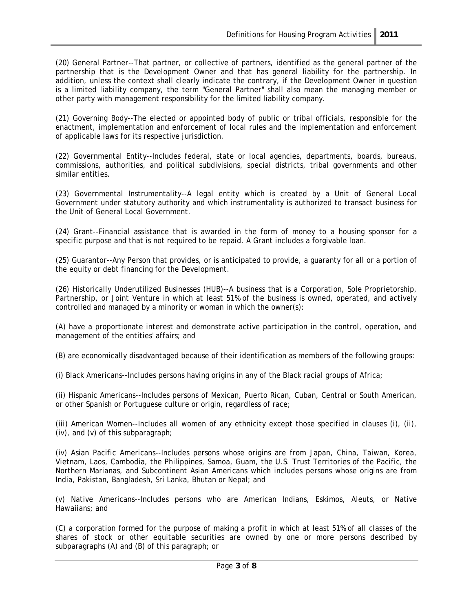(20) General Partner--That partner, or collective of partners, identified as the general partner of the partnership that is the Development Owner and that has general liability for the partnership. In addition, unless the context shall clearly indicate the contrary, if the Development Owner in question is a limited liability company, the term "General Partner" shall also mean the managing member or other party with management responsibility for the limited liability company.

(21) Governing Body--The elected or appointed body of public or tribal officials, responsible for the enactment, implementation and enforcement of local rules and the implementation and enforcement of applicable laws for its respective jurisdiction.

(22) Governmental Entity--Includes federal, state or local agencies, departments, boards, bureaus, commissions, authorities, and political subdivisions, special districts, tribal governments and other similar entities.

(23) Governmental Instrumentality--A legal entity which is created by a Unit of General Local Government under statutory authority and which instrumentality is authorized to transact business for the Unit of General Local Government.

(24) Grant--Financial assistance that is awarded in the form of money to a housing sponsor for a specific purpose and that is not required to be repaid. A Grant includes a forgivable loan.

(25) Guarantor--Any Person that provides, or is anticipated to provide, a guaranty for all or a portion of the equity or debt financing for the Development.

(26) Historically Underutilized Businesses (HUB)--A business that is a Corporation, Sole Proprietorship, Partnership, or Joint Venture in which at least 51% of the business is owned, operated, and actively controlled and managed by a minority or woman in which the owner(s):

(A) have a proportionate interest and demonstrate active participation in the control, operation, and management of the entities' affairs; and

(B) are economically disadvantaged because of their identification as members of the following groups:

(i) Black Americans--Includes persons having origins in any of the Black racial groups of Africa;

(ii) Hispanic Americans--Includes persons of Mexican, Puerto Rican, Cuban, Central or South American, or other Spanish or Portuguese culture or origin, regardless of race;

(iii) American Women--Includes all women of any ethnicity except those specified in clauses (i), (ii), (iv), and (v) of this subparagraph;

(iv) Asian Pacific Americans--Includes persons whose origins are from Japan, China, Taiwan, Korea, Vietnam, Laos, Cambodia, the Philippines, Samoa, Guam, the U.S. Trust Territories of the Pacific, the Northern Marianas, and Subcontinent Asian Americans which includes persons whose origins are from India, Pakistan, Bangladesh, Sri Lanka, Bhutan or Nepal; and

(v) Native Americans--Includes persons who are American Indians, Eskimos, Aleuts, or Native Hawaiians; and

(C) a corporation formed for the purpose of making a profit in which at least 51% of all classes of the shares of stock or other equitable securities are owned by one or more persons described by subparagraphs (A) and (B) of this paragraph; or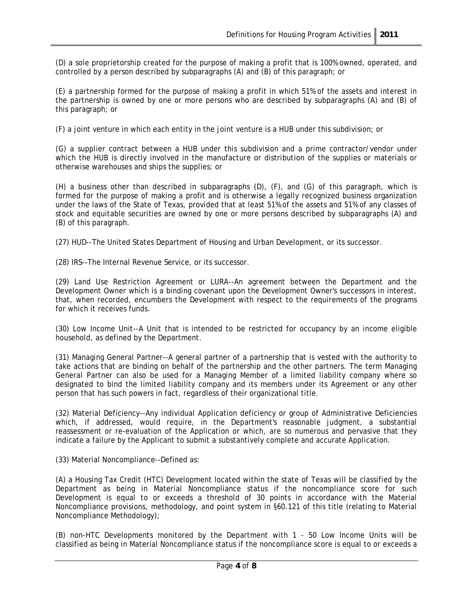(D) a sole proprietorship created for the purpose of making a profit that is 100% owned, operated, and controlled by a person described by subparagraphs (A) and (B) of this paragraph; or

(E) a partnership formed for the purpose of making a profit in which 51% of the assets and interest in the partnership is owned by one or more persons who are described by subparagraphs (A) and (B) of this paragraph; or

(F) a joint venture in which each entity in the joint venture is a HUB under this subdivision; or

(G) a supplier contract between a HUB under this subdivision and a prime contractor/vendor under which the HUB is directly involved in the manufacture or distribution of the supplies or materials or otherwise warehouses and ships the supplies; or

(H) a business other than described in subparagraphs (D), (F), and (G) of this paragraph, which is formed for the purpose of making a profit and is otherwise a legally recognized business organization under the laws of the State of Texas, provided that at least 51% of the assets and 51% of any classes of stock and equitable securities are owned by one or more persons described by subparagraphs (A) and (B) of this paragraph.

(27) HUD--The United States Department of Housing and Urban Development, or its successor.

(28) IRS--The Internal Revenue Service, or its successor.

(29) Land Use Restriction Agreement or LURA--An agreement between the Department and the Development Owner which is a binding covenant upon the Development Owner's successors in interest, that, when recorded, encumbers the Development with respect to the requirements of the programs for which it receives funds.

(30) Low Income Unit--A Unit that is intended to be restricted for occupancy by an income eligible household, as defined by the Department.

(31) Managing General Partner--A general partner of a partnership that is vested with the authority to take actions that are binding on behalf of the partnership and the other partners. The term Managing General Partner can also be used for a Managing Member of a limited liability company where so designated to bind the limited liability company and its members under its Agreement or any other person that has such powers in fact, regardless of their organizational title.

(32) Material Deficiency--Any individual Application deficiency or group of Administrative Deficiencies which, if addressed, would require, in the Department's reasonable judgment, a substantial reassessment or re-evaluation of the Application or which, are so numerous and pervasive that they indicate a failure by the Applicant to submit a substantively complete and accurate Application.

(33) Material Noncompliance--Defined as:

(A) a Housing Tax Credit (HTC) Development located within the state of Texas will be classified by the Department as being in Material Noncompliance status if the noncompliance score for such Development is equal to or exceeds a threshold of 30 points in accordance with the Material Noncompliance provisions, methodology, and point system in §60.121 of this title (relating to Material Noncompliance Methodology);

(B) non-HTC Developments monitored by the Department with 1 - 50 Low Income Units will be classified as being in Material Noncompliance status if the noncompliance score is equal to or exceeds a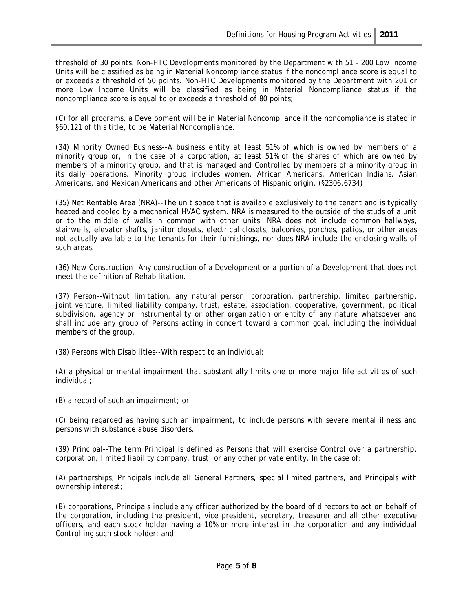threshold of 30 points. Non-HTC Developments monitored by the Department with 51 - 200 Low Income Units will be classified as being in Material Noncompliance status if the noncompliance score is equal to or exceeds a threshold of 50 points. Non-HTC Developments monitored by the Department with 201 or more Low Income Units will be classified as being in Material Noncompliance status if the noncompliance score is equal to or exceeds a threshold of 80 points;

(C) for all programs, a Development will be in Material Noncompliance if the noncompliance is stated in §60.121 of this title, to be Material Noncompliance.

(34) Minority Owned Business--A business entity at least 51% of which is owned by members of a minority group or, in the case of a corporation, at least 51% of the shares of which are owned by members of a minority group, and that is managed and Controlled by members of a minority group in its daily operations. Minority group includes women, African Americans, American Indians, Asian Americans, and Mexican Americans and other Americans of Hispanic origin. (§2306.6734)

(35) Net Rentable Area (NRA)--The unit space that is available exclusively to the tenant and is typically heated and cooled by a mechanical HVAC system. NRA is measured to the outside of the studs of a unit or to the middle of walls in common with other units. NRA does not include common hallways, stairwells, elevator shafts, janitor closets, electrical closets, balconies, porches, patios, or other areas not actually available to the tenants for their furnishings, nor does NRA include the enclosing walls of such areas.

(36) New Construction--Any construction of a Development or a portion of a Development that does not meet the definition of Rehabilitation.

(37) Person--Without limitation, any natural person, corporation, partnership, limited partnership, joint venture, limited liability company, trust, estate, association, cooperative, government, political subdivision, agency or instrumentality or other organization or entity of any nature whatsoever and shall include any group of Persons acting in concert toward a common goal, including the individual members of the group.

(38) Persons with Disabilities--With respect to an individual:

(A) a physical or mental impairment that substantially limits one or more major life activities of such individual;

(B) a record of such an impairment; or

(C) being regarded as having such an impairment, to include persons with severe mental illness and persons with substance abuse disorders.

(39) Principal--The term Principal is defined as Persons that will exercise Control over a partnership, corporation, limited liability company, trust, or any other private entity. In the case of:

(A) partnerships, Principals include all General Partners, special limited partners, and Principals with ownership interest;

(B) corporations, Principals include any officer authorized by the board of directors to act on behalf of the corporation, including the president, vice president, secretary, treasurer and all other executive officers, and each stock holder having a 10% or more interest in the corporation and any individual Controlling such stock holder; and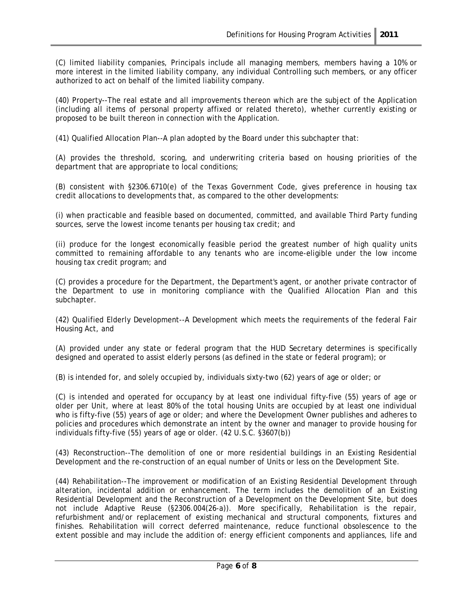(C) limited liability companies, Principals include all managing members, members having a 10% or more interest in the limited liability company, any individual Controlling such members, or any officer authorized to act on behalf of the limited liability company.

(40) Property--The real estate and all improvements thereon which are the subject of the Application (including all items of personal property affixed or related thereto), whether currently existing or proposed to be built thereon in connection with the Application.

(41) Qualified Allocation Plan--A plan adopted by the Board under this subchapter that:

(A) provides the threshold, scoring, and underwriting criteria based on housing priorities of the department that are appropriate to local conditions;

(B) consistent with §2306.6710(e) of the Texas Government Code, gives preference in housing tax credit allocations to developments that, as compared to the other developments:

(i) when practicable and feasible based on documented, committed, and available Third Party funding sources, serve the lowest income tenants per housing tax credit; and

(ii) produce for the longest economically feasible period the greatest number of high quality units committed to remaining affordable to any tenants who are income-eligible under the low income housing tax credit program; and

(C) provides a procedure for the Department, the Department's agent, or another private contractor of the Department to use in monitoring compliance with the Qualified Allocation Plan and this subchapter.

(42) Qualified Elderly Development--A Development which meets the requirements of the federal Fair Housing Act, and

(A) provided under any state or federal program that the HUD Secretary determines is specifically designed and operated to assist elderly persons (as defined in the state or federal program); or

(B) is intended for, and solely occupied by, individuals sixty-two (62) years of age or older; or

(C) is intended and operated for occupancy by at least one individual fifty-five (55) years of age or older per Unit, where at least 80% of the total housing Units are occupied by at least one individual who is fifty-five (55) years of age or older; and where the Development Owner publishes and adheres to policies and procedures which demonstrate an intent by the owner and manager to provide housing for individuals fifty-five (55) years of age or older. (42 U.S.C. §3607(b))

(43) Reconstruction--The demolition of one or more residential buildings in an Existing Residential Development and the re-construction of an equal number of Units or less on the Development Site.

(44) Rehabilitation--The improvement or modification of an Existing Residential Development through alteration, incidental addition or enhancement. The term includes the demolition of an Existing Residential Development and the Reconstruction of a Development on the Development Site, but does not include Adaptive Reuse (§2306.004(26-a)). More specifically, Rehabilitation is the repair, refurbishment and/or replacement of existing mechanical and structural components, fixtures and finishes. Rehabilitation will correct deferred maintenance, reduce functional obsolescence to the extent possible and may include the addition of: energy efficient components and appliances, life and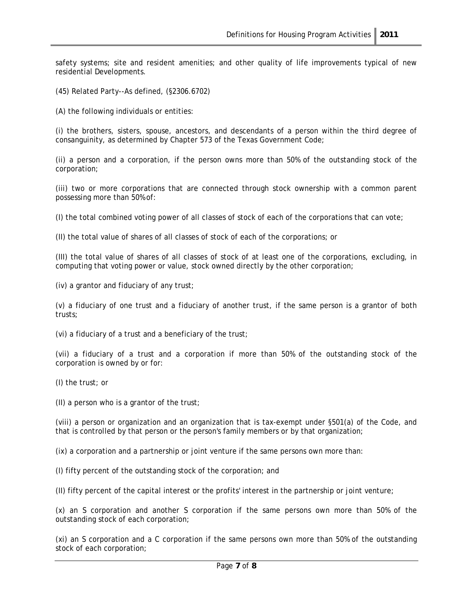safety systems; site and resident amenities; and other quality of life improvements typical of new residential Developments.

(45) Related Party--As defined, (§2306.6702)

(A) the following individuals or entities:

(i) the brothers, sisters, spouse, ancestors, and descendants of a person within the third degree of consanguinity, as determined by Chapter 573 of the Texas Government Code;

(ii) a person and a corporation, if the person owns more than 50% of the outstanding stock of the corporation;

(iii) two or more corporations that are connected through stock ownership with a common parent possessing more than 50% of:

(I) the total combined voting power of all classes of stock of each of the corporations that can vote;

(II) the total value of shares of all classes of stock of each of the corporations; or

(III) the total value of shares of all classes of stock of at least one of the corporations, excluding, in computing that voting power or value, stock owned directly by the other corporation;

(iv) a grantor and fiduciary of any trust;

(v) a fiduciary of one trust and a fiduciary of another trust, if the same person is a grantor of both trusts;

(vi) a fiduciary of a trust and a beneficiary of the trust;

(vii) a fiduciary of a trust and a corporation if more than 50% of the outstanding stock of the corporation is owned by or for:

(I) the trust; or

(II) a person who is a grantor of the trust;

(viii) a person or organization and an organization that is tax-exempt under §501(a) of the Code, and that is controlled by that person or the person's family members or by that organization;

(ix) a corporation and a partnership or joint venture if the same persons own more than:

(I) fifty percent of the outstanding stock of the corporation; and

(II) fifty percent of the capital interest or the profits' interest in the partnership or joint venture;

(x) an S corporation and another S corporation if the same persons own more than 50% of the outstanding stock of each corporation;

(xi) an S corporation and a C corporation if the same persons own more than 50% of the outstanding stock of each corporation;